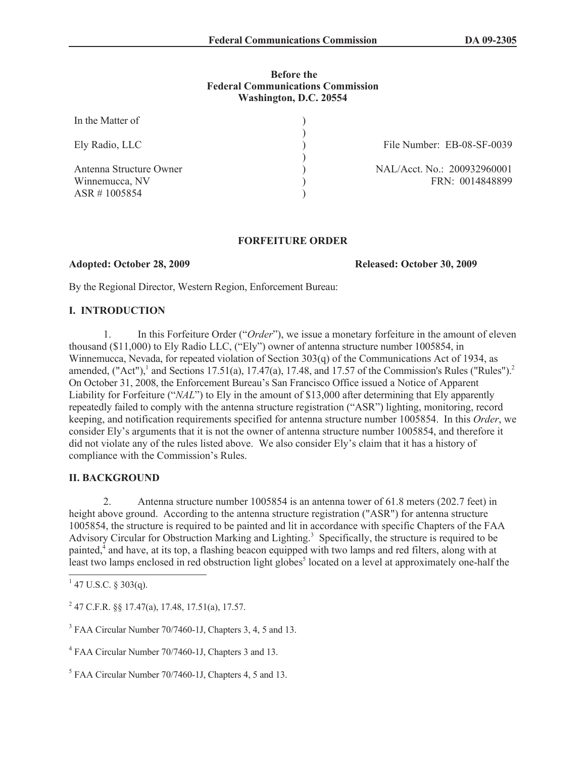#### **Before the Federal Communications Commission Washington, D.C. 20554**

| In the Matter of                          |                                                |
|-------------------------------------------|------------------------------------------------|
| Ely Radio, LLC                            | File Number: EB-08-SF-0039                     |
| Antenna Structure Owner<br>Winnemucca, NV | NAL/Acct. No.: 200932960001<br>FRN: 0014848899 |
| $ASR \# 1005854$                          |                                                |

#### **FORFEITURE ORDER**

#### **Adopted: October 28, 2009 Released: October 30, 2009**

By the Regional Director, Western Region, Enforcement Bureau:

## **I. INTRODUCTION**

1. In this Forfeiture Order ("*Order*"), we issue a monetary forfeiture in the amount of eleven thousand (\$11,000) to Ely Radio LLC, ("Ely") owner of antenna structure number 1005854, in Winnemucca, Nevada, for repeated violation of Section 303(q) of the Communications Act of 1934, as amended,  $("Act")$ <sup>1</sup> and Sections 17.51(a), 17.47(a), 17.48, and 17.57 of the Commission's Rules  $("Rules")$ <sup>2</sup> On October 31, 2008, the Enforcement Bureau's San Francisco Office issued a Notice of Apparent Liability for Forfeiture ("*NAL*") to Ely in the amount of \$13,000 after determining that Ely apparently repeatedly failed to comply with the antenna structure registration ("ASR") lighting, monitoring, record keeping, and notification requirements specified for antenna structure number 1005854. In this *Order*, we consider Ely's arguments that it is not the owner of antenna structure number 1005854, and therefore it did not violate any of the rules listed above. We also consider Ely's claim that it has a history of compliance with the Commission's Rules.

## **II. BACKGROUND**

2. Antenna structure number 1005854 is an antenna tower of 61.8 meters (202.7 feet) in height above ground. According to the antenna structure registration ("ASR") for antenna structure 1005854, the structure is required to be painted and lit in accordance with specific Chapters of the FAA Advisory Circular for Obstruction Marking and Lighting.<sup>3</sup> Specifically, the structure is required to be painted,<sup>4</sup> and have, at its top, a flashing beacon equipped with two lamps and red filters, along with at least two lamps enclosed in red obstruction light globes<sup>5</sup> located on a level at approximately one-half the

 $1$  47 U.S.C. § 303(q).

<sup>2</sup> 47 C.F.R. §§ 17.47(a), 17.48, 17.51(a), 17.57.

<sup>&</sup>lt;sup>3</sup> FAA Circular Number 70/7460-1J, Chapters 3, 4, 5 and 13.

<sup>4</sup> FAA Circular Number 70/7460-1J, Chapters 3 and 13.

<sup>&</sup>lt;sup>5</sup> FAA Circular Number 70/7460-1J, Chapters 4, 5 and 13.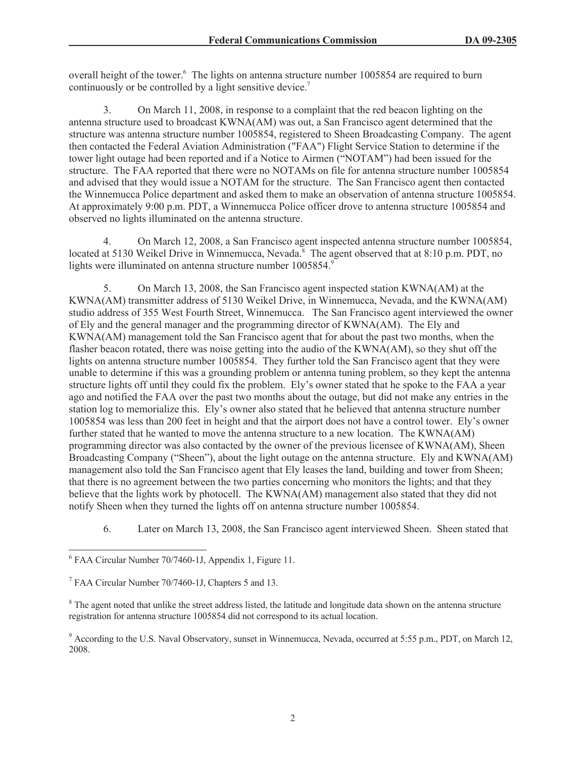overall height of the tower.<sup>6</sup> The lights on antenna structure number 1005854 are required to burn continuously or be controlled by a light sensitive device.<sup>7</sup>

3. On March 11, 2008, in response to a complaint that the red beacon lighting on the antenna structure used to broadcast KWNA(AM) was out, a San Francisco agent determined that the structure was antenna structure number 1005854, registered to Sheen Broadcasting Company. The agent then contacted the Federal Aviation Administration ("FAA") Flight Service Station to determine if the tower light outage had been reported and if a Notice to Airmen ("NOTAM") had been issued for the structure. The FAA reported that there were no NOTAMs on file for antenna structure number 1005854 and advised that they would issue a NOTAM for the structure. The San Francisco agent then contacted the Winnemucca Police department and asked them to make an observation of antenna structure 1005854. At approximately 9:00 p.m. PDT, a Winnemucca Police officer drove to antenna structure 1005854 and observed no lights illuminated on the antenna structure.

4. On March 12, 2008, a San Francisco agent inspected antenna structure number 1005854, located at 5130 Weikel Drive in Winnemucca, Nevada.<sup>8</sup> The agent observed that at 8:10 p.m. PDT, no lights were illuminated on antenna structure number 1005854.9

5. On March 13, 2008, the San Francisco agent inspected station KWNA(AM) at the KWNA(AM) transmitter address of 5130 Weikel Drive, in Winnemucca, Nevada, and the KWNA(AM) studio address of 355 West Fourth Street, Winnemucca. The San Francisco agent interviewed the owner of Ely and the general manager and the programming director of KWNA(AM). The Ely and KWNA(AM) management told the San Francisco agent that for about the past two months, when the flasher beacon rotated, there was noise getting into the audio of the KWNA(AM), so they shut off the lights on antenna structure number 1005854. They further told the San Francisco agent that they were unable to determine if this was a grounding problem or antenna tuning problem, so they kept the antenna structure lights off until they could fix the problem. Ely's owner stated that he spoke to the FAA a year ago and notified the FAA over the past two months about the outage, but did not make any entries in the station log to memorialize this. Ely's owner also stated that he believed that antenna structure number 1005854 was less than 200 feet in height and that the airport does not have a control tower. Ely's owner further stated that he wanted to move the antenna structure to a new location. The KWNA(AM) programming director was also contacted by the owner of the previous licensee of KWNA(AM), Sheen Broadcasting Company ("Sheen"), about the light outage on the antenna structure. Ely and KWNA(AM) management also told the San Francisco agent that Ely leases the land, building and tower from Sheen; that there is no agreement between the two parties concerning who monitors the lights; and that they believe that the lights work by photocell. The KWNA(AM) management also stated that they did not notify Sheen when they turned the lights off on antenna structure number 1005854.

6. Later on March 13, 2008, the San Francisco agent interviewed Sheen. Sheen stated that

<sup>6</sup> FAA Circular Number 70/7460-1J, Appendix 1, Figure 11.

<sup>&</sup>lt;sup>7</sup> FAA Circular Number 70/7460-1J, Chapters 5 and 13.

<sup>&</sup>lt;sup>8</sup> The agent noted that unlike the street address listed, the latitude and longitude data shown on the antenna structure registration for antenna structure 1005854 did not correspond to its actual location.

<sup>&</sup>lt;sup>9</sup> According to the U.S. Naval Observatory, sunset in Winnemucca, Nevada, occurred at 5:55 p.m., PDT, on March 12, 2008.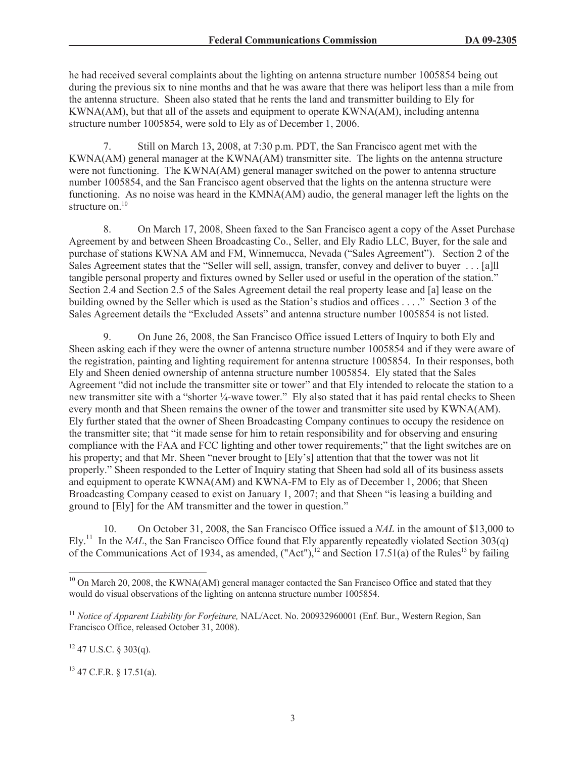he had received several complaints about the lighting on antenna structure number 1005854 being out during the previous six to nine months and that he was aware that there was heliport less than a mile from the antenna structure. Sheen also stated that he rents the land and transmitter building to Ely for KWNA(AM), but that all of the assets and equipment to operate KWNA(AM), including antenna structure number 1005854, were sold to Ely as of December 1, 2006.

7. Still on March 13, 2008, at 7:30 p.m. PDT, the San Francisco agent met with the KWNA(AM) general manager at the KWNA(AM) transmitter site. The lights on the antenna structure were not functioning. The KWNA(AM) general manager switched on the power to antenna structure number 1005854, and the San Francisco agent observed that the lights on the antenna structure were functioning. As no noise was heard in the KMNA(AM) audio, the general manager left the lights on the structure on.<sup>10</sup>

8. On March 17, 2008, Sheen faxed to the San Francisco agent a copy of the Asset Purchase Agreement by and between Sheen Broadcasting Co., Seller, and Ely Radio LLC, Buyer, for the sale and purchase of stations KWNA AM and FM, Winnemucca, Nevada ("Sales Agreement"). Section 2 of the Sales Agreement states that the "Seller will sell, assign, transfer, convey and deliver to buyer . . . [a]ll tangible personal property and fixtures owned by Seller used or useful in the operation of the station." Section 2.4 and Section 2.5 of the Sales Agreement detail the real property lease and [a] lease on the building owned by the Seller which is used as the Station's studios and offices . . . ." Section 3 of the Sales Agreement details the "Excluded Assets" and antenna structure number 1005854 is not listed.

9. On June 26, 2008, the San Francisco Office issued Letters of Inquiry to both Ely and Sheen asking each if they were the owner of antenna structure number 1005854 and if they were aware of the registration, painting and lighting requirement for antenna structure 1005854. In their responses, both Ely and Sheen denied ownership of antenna structure number 1005854. Ely stated that the Sales Agreement "did not include the transmitter site or tower" and that Ely intended to relocate the station to a new transmitter site with a "shorter ¼-wave tower." Ely also stated that it has paid rental checks to Sheen every month and that Sheen remains the owner of the tower and transmitter site used by KWNA(AM). Ely further stated that the owner of Sheen Broadcasting Company continues to occupy the residence on the transmitter site; that "it made sense for him to retain responsibility and for observing and ensuring compliance with the FAA and FCC lighting and other tower requirements;" that the light switches are on his property; and that Mr. Sheen "never brought to [Ely's] attention that that the tower was not lit properly." Sheen responded to the Letter of Inquiry stating that Sheen had sold all of its business assets and equipment to operate KWNA(AM) and KWNA-FM to Ely as of December 1, 2006; that Sheen Broadcasting Company ceased to exist on January 1, 2007; and that Sheen "is leasing a building and ground to [Ely] for the AM transmitter and the tower in question."

10. On October 31, 2008, the San Francisco Office issued a *NAL* in the amount of \$13,000 to Ely.<sup>11</sup> In the *NAL*, the San Francisco Office found that Ely apparently repeatedly violated Section 303(q) of the Communications Act of 1934, as amended, ("Act"),<sup>12</sup> and Section 17.51(a) of the Rules<sup>13</sup> by failing

 $12$  47 U.S.C. § 303(q).

 $13$  47 C.F.R. § 17.51(a).

<sup>&</sup>lt;sup>10</sup> On March 20, 2008, the KWNA(AM) general manager contacted the San Francisco Office and stated that they would do visual observations of the lighting on antenna structure number 1005854.

<sup>&</sup>lt;sup>11</sup> *Notice of Apparent Liability for Forfeiture, NAL/Acct. No. 200932960001* (Enf. Bur., Western Region, San Francisco Office, released October 31, 2008).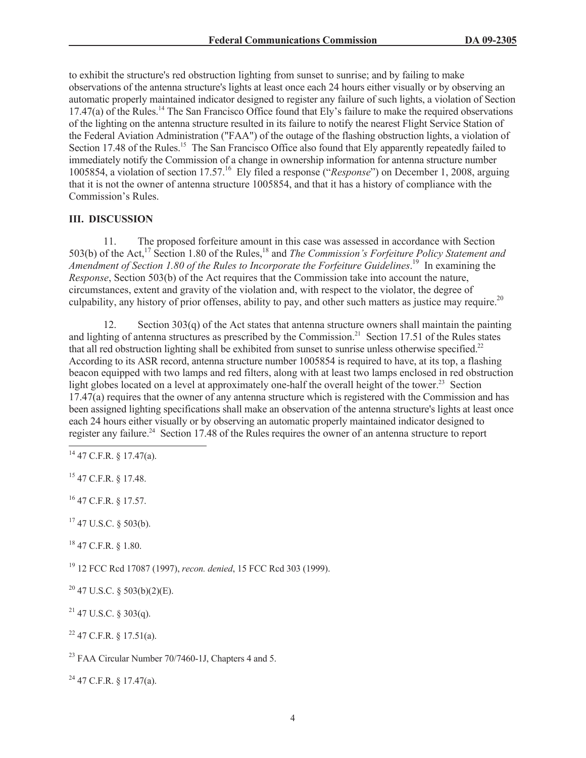to exhibit the structure's red obstruction lighting from sunset to sunrise; and by failing to make observations of the antenna structure's lights at least once each 24 hours either visually or by observing an automatic properly maintained indicator designed to register any failure of such lights, a violation of Section 17.47(a) of the Rules.<sup>14</sup> The San Francisco Office found that Ely's failure to make the required observations of the lighting on the antenna structure resulted in its failure to notify the nearest Flight Service Station of the Federal Aviation Administration ("FAA") of the outage of the flashing obstruction lights, a violation of Section 17.48 of the Rules.<sup>15</sup> The San Francisco Office also found that Ely apparently repeatedly failed to immediately notify the Commission of a change in ownership information for antenna structure number 1005854, a violation of section 17.57.<sup>16</sup> Ely filed a response ("*Response*") on December 1, 2008, arguing that it is not the owner of antenna structure 1005854, and that it has a history of compliance with the Commission's Rules.

# **III. DISCUSSION**

11. The proposed forfeiture amount in this case was assessed in accordance with Section 503(b) of the Act,<sup>17</sup> Section 1.80 of the Rules,<sup>18</sup> and *The Commission's Forfeiture Policy Statement and Amendment of Section 1.80 of the Rules to Incorporate the Forfeiture Guidelines*. <sup>19</sup> In examining the *Response*, Section 503(b) of the Act requires that the Commission take into account the nature, circumstances, extent and gravity of the violation and, with respect to the violator, the degree of culpability, any history of prior offenses, ability to pay, and other such matters as justice may require.<sup>20</sup>

12. Section 303(q) of the Act states that antenna structure owners shall maintain the painting and lighting of antenna structures as prescribed by the Commission.<sup>21</sup> Section 17.51 of the Rules states that all red obstruction lighting shall be exhibited from sunset to sunrise unless otherwise specified.<sup>22</sup> According to its ASR record, antenna structure number 1005854 is required to have, at its top, a flashing beacon equipped with two lamps and red filters, along with at least two lamps enclosed in red obstruction light globes located on a level at approximately one-half the overall height of the tower.<sup>23</sup> Section 17.47(a) requires that the owner of any antenna structure which is registered with the Commission and has been assigned lighting specifications shall make an observation of the antenna structure's lights at least once each 24 hours either visually or by observing an automatic properly maintained indicator designed to register any failure.<sup>24</sup> Section 17.48 of the Rules requires the owner of an antenna structure to report

<sup>15</sup> 47 C.F.R. § 17.48.

<sup>16</sup> 47 C.F.R. § 17.57.

 $17$  47 U.S.C. § 503(b).

<sup>18</sup> 47 C.F.R. § 1.80.

<sup>19</sup> 12 FCC Rcd 17087 (1997), *recon. denied*, 15 FCC Rcd 303 (1999).

 $20$  47 U.S.C. § 503(b)(2)(E).

 $21$  47 U.S.C. § 303(q).

 $22$  47 C.F.R. § 17.51(a).

 $^{23}$  FAA Circular Number 70/7460-1J, Chapters 4 and 5.

 $^{24}$  47 C.F.R. § 17.47(a).

<sup>14</sup> 47 C.F.R. § 17.47(a).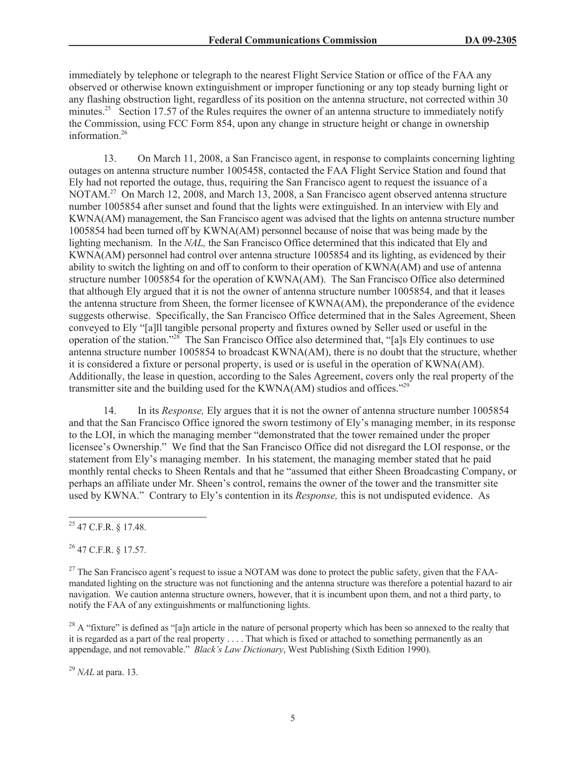immediately by telephone or telegraph to the nearest Flight Service Station or office of the FAA any observed or otherwise known extinguishment or improper functioning or any top steady burning light or any flashing obstruction light, regardless of its position on the antenna structure, not corrected within 30 minutes.<sup>25</sup> Section 17.57 of the Rules requires the owner of an antenna structure to immediately notify the Commission, using FCC Form 854, upon any change in structure height or change in ownership information.<sup>26</sup>

13. On March 11, 2008, a San Francisco agent, in response to complaints concerning lighting outages on antenna structure number 1005458, contacted the FAA Flight Service Station and found that Ely had not reported the outage, thus, requiring the San Francisco agent to request the issuance of a NOTAM.<sup>27</sup> On March 12, 2008, and March 13, 2008, a San Francisco agent observed antenna structure number 1005854 after sunset and found that the lights were extinguished. In an interview with Ely and KWNA(AM) management, the San Francisco agent was advised that the lights on antenna structure number 1005854 had been turned off by KWNA(AM) personnel because of noise that was being made by the lighting mechanism. In the *NAL,* the San Francisco Office determined that this indicated that Ely and KWNA(AM) personnel had control over antenna structure 1005854 and its lighting, as evidenced by their ability to switch the lighting on and off to conform to their operation of KWNA(AM) and use of antenna structure number 1005854 for the operation of KWNA(AM). The San Francisco Office also determined that although Ely argued that it is not the owner of antenna structure number 1005854, and that it leases the antenna structure from Sheen, the former licensee of KWNA(AM), the preponderance of the evidence suggests otherwise. Specifically, the San Francisco Office determined that in the Sales Agreement, Sheen conveyed to Ely "[a]ll tangible personal property and fixtures owned by Seller used or useful in the operation of the station."<sup>28</sup> The San Francisco Office also determined that, "[a]s Ely continues to use antenna structure number 1005854 to broadcast KWNA(AM), there is no doubt that the structure, whether it is considered a fixture or personal property, is used or is useful in the operation of KWNA(AM). Additionally, the lease in question, according to the Sales Agreement, covers only the real property of the transmitter site and the building used for the KWNA(AM) studios and offices.<sup>"29</sup>

14. In its *Response,* Ely argues that it is not the owner of antenna structure number 1005854 and that the San Francisco Office ignored the sworn testimony of Ely's managing member, in its response to the LOI, in which the managing member "demonstrated that the tower remained under the proper licensee's Ownership." We find that the San Francisco Office did not disregard the LOI response, or the statement from Ely's managing member. In his statement, the managing member stated that he paid monthly rental checks to Sheen Rentals and that he "assumed that either Sheen Broadcasting Company, or perhaps an affiliate under Mr. Sheen's control, remains the owner of the tower and the transmitter site used by KWNA." Contrary to Ely's contention in its *Response,* this is not undisputed evidence. As

 $^{28}$  A "fixture" is defined as "[a]n article in the nature of personal property which has been so annexed to the realty that it is regarded as a part of the real property . . . . That which is fixed or attached to something permanently as an appendage, and not removable." *Black's Law Dictionary*, West Publishing (Sixth Edition 1990).

<sup>29</sup> *NAL* at para. 13.

<sup>25</sup> 47 C.F.R. § 17.48.

 $^{26}$  47 C.F.R. § 17.57.

<sup>&</sup>lt;sup>27</sup> The San Francisco agent's request to issue a NOTAM was done to protect the public safety, given that the FAAmandated lighting on the structure was not functioning and the antenna structure was therefore a potential hazard to air navigation. We caution antenna structure owners, however, that it is incumbent upon them, and not a third party, to notify the FAA of any extinguishments or malfunctioning lights.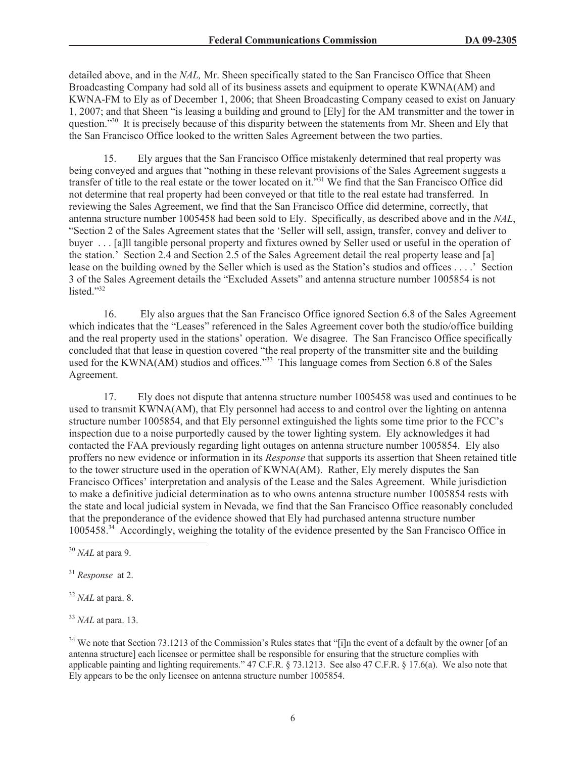detailed above, and in the *NAL,* Mr. Sheen specifically stated to the San Francisco Office that Sheen Broadcasting Company had sold all of its business assets and equipment to operate KWNA(AM) and KWNA-FM to Ely as of December 1, 2006; that Sheen Broadcasting Company ceased to exist on January 1, 2007; and that Sheen "is leasing a building and ground to [Ely] for the AM transmitter and the tower in question."<sup>30</sup> It is precisely because of this disparity between the statements from Mr. Sheen and Ely that the San Francisco Office looked to the written Sales Agreement between the two parties.

15. Ely argues that the San Francisco Office mistakenly determined that real property was being conveyed and argues that "nothing in these relevant provisions of the Sales Agreement suggests a transfer of title to the real estate or the tower located on it."<sup>31</sup> We find that the San Francisco Office did not determine that real property had been conveyed or that title to the real estate had transferred. In reviewing the Sales Agreement, we find that the San Francisco Office did determine, correctly, that antenna structure number 1005458 had been sold to Ely. Specifically, as described above and in the *NAL*, "Section 2 of the Sales Agreement states that the 'Seller will sell, assign, transfer, convey and deliver to buyer . . . [a]ll tangible personal property and fixtures owned by Seller used or useful in the operation of the station.' Section 2.4 and Section 2.5 of the Sales Agreement detail the real property lease and [a] lease on the building owned by the Seller which is used as the Station's studios and offices . . . .' Section 3 of the Sales Agreement details the "Excluded Assets" and antenna structure number 1005854 is not listed $^{32}$ 

16. Ely also argues that the San Francisco Office ignored Section 6.8 of the Sales Agreement which indicates that the "Leases" referenced in the Sales Agreement cover both the studio/office building and the real property used in the stations' operation. We disagree. The San Francisco Office specifically concluded that that lease in question covered "the real property of the transmitter site and the building used for the KWNA(AM) studios and offices.<sup>33</sup> This language comes from Section 6.8 of the Sales Agreement.

17. Ely does not dispute that antenna structure number 1005458 was used and continues to be used to transmit KWNA(AM), that Ely personnel had access to and control over the lighting on antenna structure number 1005854, and that Ely personnel extinguished the lights some time prior to the FCC's inspection due to a noise purportedly caused by the tower lighting system. Ely acknowledges it had contacted the FAA previously regarding light outages on antenna structure number 1005854. Ely also proffers no new evidence or information in its *Response* that supports its assertion that Sheen retained title to the tower structure used in the operation of KWNA(AM). Rather, Ely merely disputes the San Francisco Offices' interpretation and analysis of the Lease and the Sales Agreement. While jurisdiction to make a definitive judicial determination as to who owns antenna structure number 1005854 rests with the state and local judicial system in Nevada, we find that the San Francisco Office reasonably concluded that the preponderance of the evidence showed that Ely had purchased antenna structure number 1005458.<sup>34</sup> Accordingly, weighing the totality of the evidence presented by the San Francisco Office in

<sup>30</sup> *NAL* at para 9.

<sup>31</sup> *Response* at 2.

<sup>32</sup> *NAL* at para. 8.

<sup>33</sup> *NAL* at para. 13.

<sup>&</sup>lt;sup>34</sup> We note that Section 73.1213 of the Commission's Rules states that "[i]n the event of a default by the owner [of an antenna structure] each licensee or permittee shall be responsible for ensuring that the structure complies with applicable painting and lighting requirements." 47 C.F.R. § 73.1213. See also 47 C.F.R. § 17.6(a). We also note that Ely appears to be the only licensee on antenna structure number 1005854.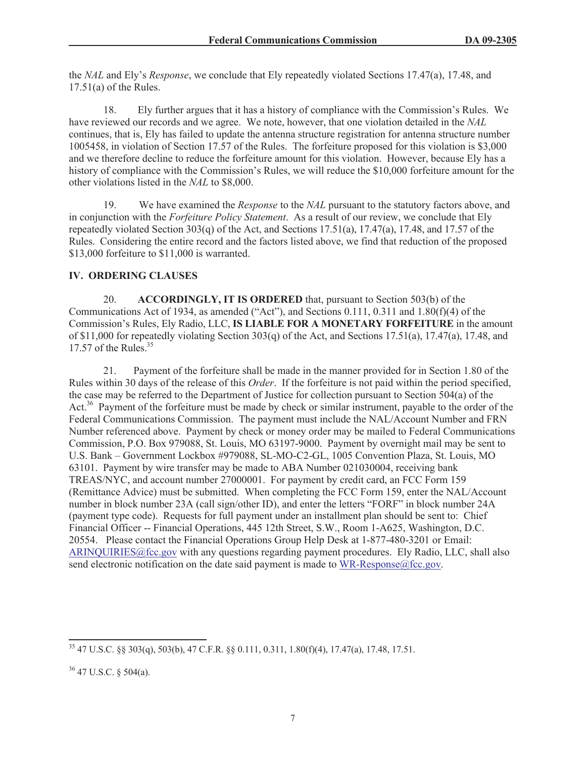the *NAL* and Ely's *Response*, we conclude that Ely repeatedly violated Sections 17.47(a), 17.48, and 17.51(a) of the Rules.

18. Ely further argues that it has a history of compliance with the Commission's Rules. We have reviewed our records and we agree. We note, however, that one violation detailed in the *NAL* continues, that is, Ely has failed to update the antenna structure registration for antenna structure number 1005458, in violation of Section 17.57 of the Rules. The forfeiture proposed for this violation is \$3,000 and we therefore decline to reduce the forfeiture amount for this violation. However, because Ely has a history of compliance with the Commission's Rules, we will reduce the \$10,000 forfeiture amount for the other violations listed in the *NAL* to \$8,000.

19. We have examined the *Response* to the *NAL* pursuant to the statutory factors above, and in conjunction with the *Forfeiture Policy Statement*. As a result of our review, we conclude that Ely repeatedly violated Section 303(q) of the Act, and Sections 17.51(a), 17.47(a), 17.48, and 17.57 of the Rules. Considering the entire record and the factors listed above, we find that reduction of the proposed \$13,000 forfeiture to \$11,000 is warranted.

## **IV. ORDERING CLAUSES**

20. **ACCORDINGLY, IT IS ORDERED** that, pursuant to Section 503(b) of the Communications Act of 1934, as amended ("Act"), and Sections 0.111, 0.311 and 1.80(f)(4) of the Commission's Rules, Ely Radio, LLC, **IS LIABLE FOR A MONETARY FORFEITURE** in the amount of \$11,000 for repeatedly violating Section 303(q) of the Act, and Sections 17.51(a), 17.47(a), 17.48, and 17.57 of the Rules.<sup>35</sup>

21. Payment of the forfeiture shall be made in the manner provided for in Section 1.80 of the Rules within 30 days of the release of this *Order*. If the forfeiture is not paid within the period specified, the case may be referred to the Department of Justice for collection pursuant to Section 504(a) of the Act.<sup>36</sup> Payment of the forfeiture must be made by check or similar instrument, payable to the order of the Federal Communications Commission. The payment must include the NAL/Account Number and FRN Number referenced above. Payment by check or money order may be mailed to Federal Communications Commission, P.O. Box 979088, St. Louis, MO 63197-9000. Payment by overnight mail may be sent to U.S. Bank – Government Lockbox #979088, SL-MO-C2-GL, 1005 Convention Plaza, St. Louis, MO 63101. Payment by wire transfer may be made to ABA Number 021030004, receiving bank TREAS/NYC, and account number 27000001. For payment by credit card, an FCC Form 159 (Remittance Advice) must be submitted. When completing the FCC Form 159, enter the NAL/Account number in block number 23A (call sign/other ID), and enter the letters "FORF" in block number 24A (payment type code). Requests for full payment under an installment plan should be sent to: Chief Financial Officer -- Financial Operations, 445 12th Street, S.W., Room 1-A625, Washington, D.C. 20554. Please contact the Financial Operations Group Help Desk at 1-877-480-3201 or Email: ARINQUIRIES@fcc.gov with any questions regarding payment procedures. Ely Radio, LLC, shall also send electronic notification on the date said payment is made to WR-Response@fcc.gov.

<sup>35</sup> 47 U.S.C. §§ 303(q), 503(b), 47 C.F.R. §§ 0.111, 0.311, 1.80(f)(4), 17.47(a), 17.48, 17.51.

<sup>36</sup> 47 U.S.C. § 504(a).